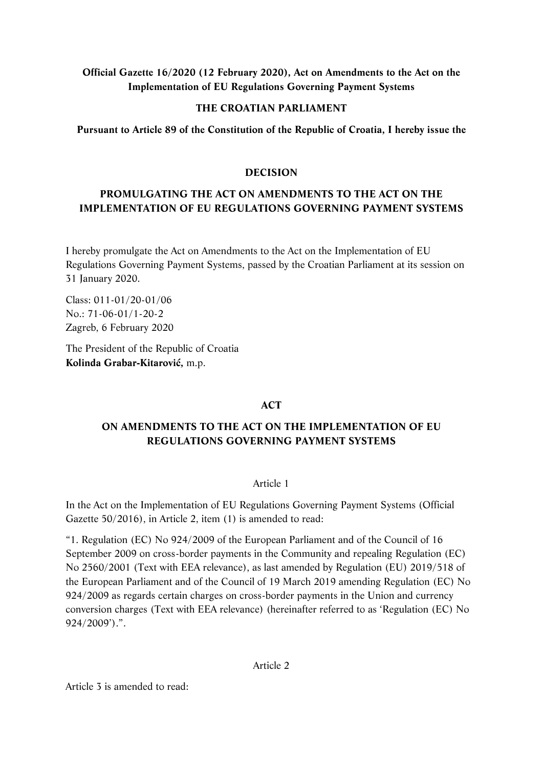# **Official Gazette 16/2020 (12 February 2020), Act on Amendments to the Act on the Implementation of EU Regulations Governing Payment Systems**

### **THE CROATIAN PARLIAMENT**

**Pursuant to Article 89 of the Constitution of the Republic of Croatia, I hereby issue the** 

## **DECISION**

# **PROMULGATING THE ACT ON AMENDMENTS TO THE ACT ON THE IMPLEMENTATION OF EU REGULATIONS GOVERNING PAYMENT SYSTEMS**

I hereby promulgate the Act on Amendments to the Act on the Implementation of EU Regulations Governing Payment Systems, passed by the Croatian Parliament at its session on 31 January 2020.

Class: 011-01/20-01/06 No.: 71-06-01/1-20-2 Zagreb, 6 February 2020

The President of the Republic of Croatia **Kolinda Grabar-Kitarović,** m.p.

# **ACT**

# **ON AMENDMENTS TO THE ACT ON THE IMPLEMENTATION OF EU REGULATIONS GOVERNING PAYMENT SYSTEMS**

#### Article 1

In the Act on the Implementation of EU Regulations Governing Payment Systems (Official Gazette 50/2016), in Article 2, item (1) is amended to read:

"1. Regulation (EC) No 924/2009 of the European Parliament and of the Council of 16 September 2009 on cross-border payments in the Community and repealing Regulation (EC) No 2560/2001 (Text with EEA relevance), as last amended by Regulation (EU) 2019/518 of the European Parliament and of the Council of 19 March 2019 amending Regulation (EC) No 924/2009 as regards certain charges on cross-border payments in the Union and currency conversion charges (Text with EEA relevance) (hereinafter referred to as 'Regulation (EC) No 924/2009').".

Article 2

Article 3 is amended to read: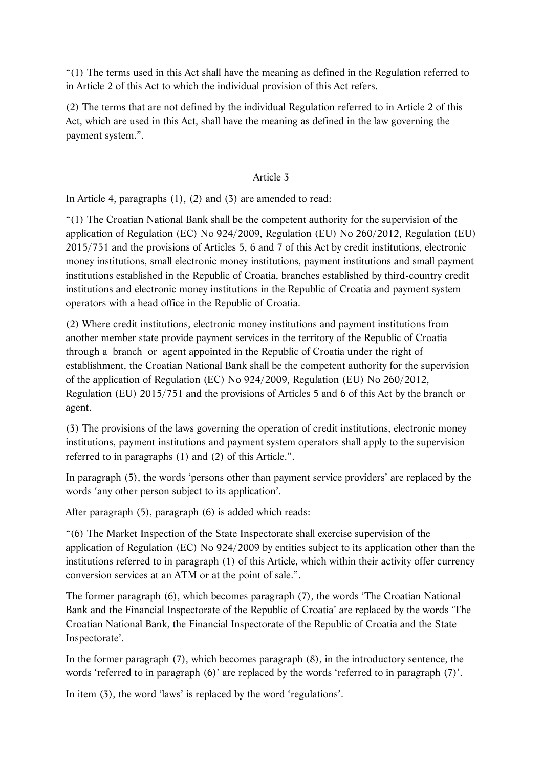"(1) The terms used in this Act shall have the meaning as defined in the Regulation referred to in Article 2 of this Act to which the individual provision of this Act refers.

(2) The terms that are not defined by the individual Regulation referred to in Article 2 of this Act, which are used in this Act, shall have the meaning as defined in the law governing the payment system.".

## Article 3

In Article 4, paragraphs (1), (2) and (3) are amended to read:

"(1) The Croatian National Bank shall be the competent authority for the supervision of the application of Regulation (EC) No 924/2009, Regulation (EU) No 260/2012, Regulation (EU) 2015/751 and the provisions of Articles 5, 6 and 7 of this Act by credit institutions, electronic money institutions, small electronic money institutions, payment institutions and small payment institutions established in the Republic of Croatia, branches established by third-country credit institutions and electronic money institutions in the Republic of Croatia and payment system operators with a head office in the Republic of Croatia.

(2) Where credit institutions, electronic money institutions and payment institutions from another member state provide payment services in the territory of the Republic of Croatia through a branch or agent appointed in the Republic of Croatia under the right of establishment, the Croatian National Bank shall be the competent authority for the supervision of the application of Regulation (EC) No 924/2009, Regulation (EU) No 260/2012, Regulation (EU) 2015/751 and the provisions of Articles 5 and 6 of this Act by the branch or agent.

(3) The provisions of the laws governing the operation of credit institutions, electronic money institutions, payment institutions and payment system operators shall apply to the supervision referred to in paragraphs (1) and (2) of this Article.".

In paragraph (5), the words 'persons other than payment service providers' are replaced by the words 'any other person subject to its application'.

After paragraph (5), paragraph (6) is added which reads:

"(6) The Market Inspection of the State Inspectorate shall exercise supervision of the application of Regulation (EC) No 924/2009 by entities subject to its application other than the institutions referred to in paragraph (1) of this Article, which within their activity offer currency conversion services at an ATM or at the point of sale.".

The former paragraph (6), which becomes paragraph (7), the words 'The Croatian National Bank and the Financial Inspectorate of the Republic of Croatia' are replaced by the words 'The Croatian National Bank, the Financial Inspectorate of the Republic of Croatia and the State Inspectorate'.

In the former paragraph (7), which becomes paragraph (8), in the introductory sentence, the words 'referred to in paragraph (6)' are replaced by the words 'referred to in paragraph (7)'.

In item (3), the word 'laws' is replaced by the word 'regulations'.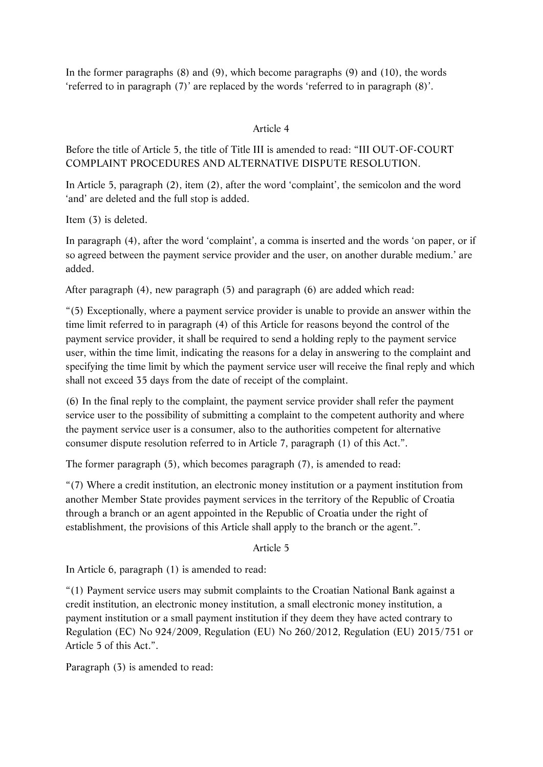In the former paragraphs (8) and (9), which become paragraphs (9) and (10), the words 'referred to in paragraph (7)' are replaced by the words 'referred to in paragraph (8)'.

## Article 4

Before the title of Article 5, the title of Title III is amended to read: "III OUT-OF-COURT COMPLAINT PROCEDURES AND ALTERNATIVE DISPUTE RESOLUTION.

In Article 5, paragraph (2), item (2), after the word 'complaint', the semicolon and the word 'and' are deleted and the full stop is added.

Item (3) is deleted.

In paragraph (4), after the word 'complaint', a comma is inserted and the words 'on paper, or if so agreed between the payment service provider and the user, on another durable medium.' are added.

After paragraph (4), new paragraph (5) and paragraph (6) are added which read:

"(5) Exceptionally, where a payment service provider is unable to provide an answer within the time limit referred to in paragraph (4) of this Article for reasons beyond the control of the payment service provider, it shall be required to send a holding reply to the payment service user, within the time limit, indicating the reasons for a delay in answering to the complaint and specifying the time limit by which the payment service user will receive the final reply and which shall not exceed 35 days from the date of receipt of the complaint.

(6) In the final reply to the complaint, the payment service provider shall refer the payment service user to the possibility of submitting a complaint to the competent authority and where the payment service user is a consumer, also to the authorities competent for alternative consumer dispute resolution referred to in Article 7, paragraph (1) of this Act.".

The former paragraph (5), which becomes paragraph (7), is amended to read:

"(7) Where a credit institution, an electronic money institution or a payment institution from another Member State provides payment services in the territory of the Republic of Croatia through a branch or an agent appointed in the Republic of Croatia under the right of establishment, the provisions of this Article shall apply to the branch or the agent.".

Article 5

In Article 6, paragraph (1) is amended to read:

"(1) Payment service users may submit complaints to the Croatian National Bank against a credit institution, an electronic money institution, a small electronic money institution, a payment institution or a small payment institution if they deem they have acted contrary to Regulation (EC) No 924/2009, Regulation (EU) No 260/2012, Regulation (EU) 2015/751 or Article 5 of this Act.".

Paragraph (3) is amended to read: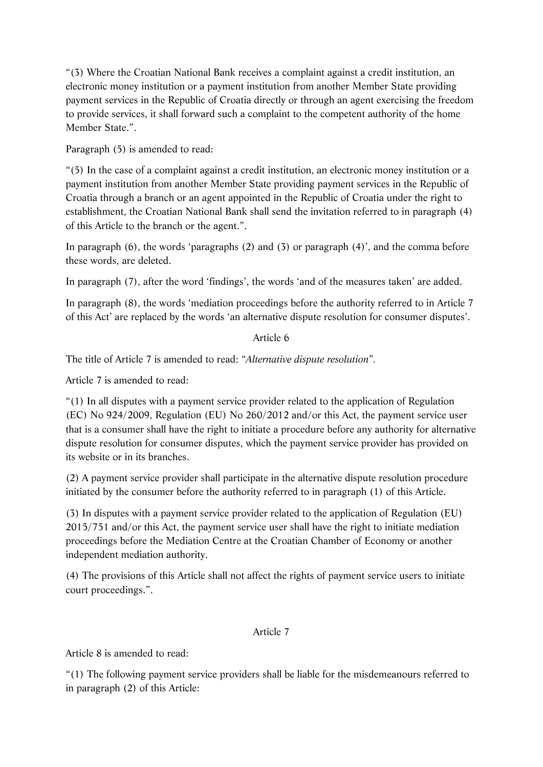"(3) Where the Croatian National Bank receives a complaint against a credit institution, an electronic money institution or a payment institution from another Member State providing payment services in the Republic of Croatia directly or through an agent exercising the freedom to provide services, it shall forward such a complaint to the competent authority of the home Member State.".

Paragraph (5) is amended to read:

"(5) In the case of a complaint against a credit institution, an electronic money institution or a payment institution from another Member State providing payment services in the Republic of Croatia through a branch or an agent appointed in the Republic of Croatia under the right to establishment, the Croatian National Bank shall send the invitation referred to in paragraph (4) of this Article to the branch or the agent.".

In paragraph (6), the words 'paragraphs (2) and (3) or paragraph (4)', and the comma before these words, are deleted.

In paragraph (7), after the word 'findings', the words 'and of the measures taken' are added.

In paragraph (8), the words 'mediation proceedings before the authority referred to in Article 7 of this Act' are replaced by the words 'an alternative dispute resolution for consumer disputes'.

# Article 6

The title of Article 7 is amended to read: "*Alternative dispute resolution*"*.* 

Article 7 is amended to read:

"(1) In all disputes with a payment service provider related to the application of Regulation (EC) No 924/2009, Regulation (EU) No 260/2012 and/or this Act, the payment service user that is a consumer shall have the right to initiate a procedure before any authority for alternative dispute resolution for consumer disputes, which the payment service provider has provided on its website or in its branches.

(2) A payment service provider shall participate in the alternative dispute resolution procedure initiated by the consumer before the authority referred to in paragraph (1) of this Article.

(3) In disputes with a payment service provider related to the application of Regulation (EU) 2015/751 and/or this Act, the payment service user shall have the right to initiate mediation proceedings before the Mediation Centre at the Croatian Chamber of Economy or another independent mediation authority.

(4) The provisions of this Article shall not affect the rights of payment service users to initiate court proceedings.".

#### Article 7

Article 8 is amended to read:

"(1) The following payment service providers shall be liable for the misdemeanours referred to in paragraph (2) of this Article: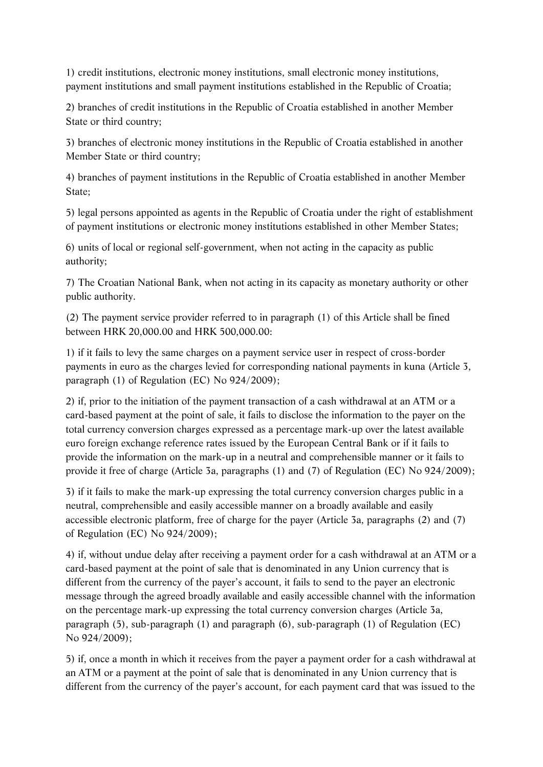1) credit institutions, electronic money institutions, small electronic money institutions, payment institutions and small payment institutions established in the Republic of Croatia;

2) branches of credit institutions in the Republic of Croatia established in another Member State or third country;

3) branches of electronic money institutions in the Republic of Croatia established in another Member State or third country;

4) branches of payment institutions in the Republic of Croatia established in another Member State;

5) legal persons appointed as agents in the Republic of Croatia under the right of establishment of payment institutions or electronic money institutions established in other Member States;

6) units of local or regional self-government, when not acting in the capacity as public authority;

7) The Croatian National Bank, when not acting in its capacity as monetary authority or other public authority.

(2) The payment service provider referred to in paragraph (1) of this Article shall be fined between HRK 20,000.00 and HRK 500,000.00:

1) if it fails to levy the same charges on a payment service user in respect of cross-border payments in euro as the charges levied for corresponding national payments in kuna (Article 3, paragraph (1) of Regulation (EC) No 924/2009);

2) if, prior to the initiation of the payment transaction of a cash withdrawal at an ATM or a card-based payment at the point of sale, it fails to disclose the information to the payer on the total currency conversion charges expressed as a percentage mark-up over the latest available euro foreign exchange reference rates issued by the European Central Bank or if it fails to provide the information on the mark-up in a neutral and comprehensible manner or it fails to provide it free of charge (Article 3a, paragraphs (1) and (7) of Regulation (EC) No 924/2009);

3) if it fails to make the mark-up expressing the total currency conversion charges public in a neutral, comprehensible and easily accessible manner on a broadly available and easily accessible electronic platform, free of charge for the payer (Article 3a, paragraphs (2) and (7) of Regulation (EC) No 924/2009);

4) if, without undue delay after receiving a payment order for a cash withdrawal at an ATM or a card-based payment at the point of sale that is denominated in any Union currency that is different from the currency of the payer's account, it fails to send to the payer an electronic message through the agreed broadly available and easily accessible channel with the information on the percentage mark-up expressing the total currency conversion charges (Article 3a, paragraph (5), sub-paragraph (1) and paragraph (6), sub-paragraph (1) of Regulation (EC) No 924/2009);

5) if, once a month in which it receives from the payer a payment order for a cash withdrawal at an ATM or a payment at the point of sale that is denominated in any Union currency that is different from the currency of the payer's account, for each payment card that was issued to the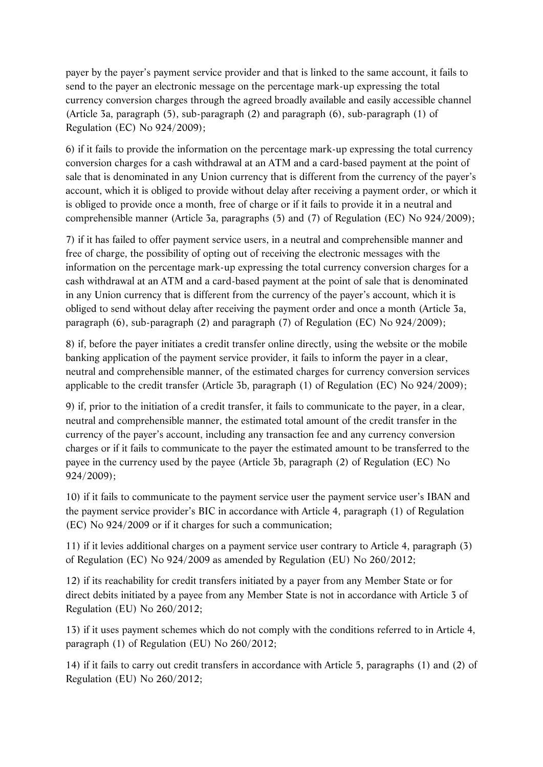payer by the payer's payment service provider and that is linked to the same account, it fails to send to the payer an electronic message on the percentage mark-up expressing the total currency conversion charges through the agreed broadly available and easily accessible channel (Article 3a, paragraph (5), sub-paragraph (2) and paragraph (6), sub-paragraph (1) of Regulation (EC) No 924/2009);

6) if it fails to provide the information on the percentage mark-up expressing the total currency conversion charges for a cash withdrawal at an ATM and a card-based payment at the point of sale that is denominated in any Union currency that is different from the currency of the payer's account, which it is obliged to provide without delay after receiving a payment order, or which it is obliged to provide once a month, free of charge or if it fails to provide it in a neutral and comprehensible manner (Article 3a, paragraphs (5) and (7) of Regulation (EC) No 924/2009);

7) if it has failed to offer payment service users, in a neutral and comprehensible manner and free of charge, the possibility of opting out of receiving the electronic messages with the information on the percentage mark-up expressing the total currency conversion charges for a cash withdrawal at an ATM and a card-based payment at the point of sale that is denominated in any Union currency that is different from the currency of the payer's account, which it is obliged to send without delay after receiving the payment order and once a month (Article 3a, paragraph (6), sub-paragraph (2) and paragraph (7) of Regulation (EC) No 924/2009);

8) if, before the payer initiates a credit transfer online directly, using the website or the mobile banking application of the payment service provider, it fails to inform the payer in a clear, neutral and comprehensible manner, of the estimated charges for currency conversion services applicable to the credit transfer (Article 3b, paragraph (1) of Regulation (EC) No 924/2009);

9) if, prior to the initiation of a credit transfer, it fails to communicate to the payer, in a clear, neutral and comprehensible manner, the estimated total amount of the credit transfer in the currency of the payer's account, including any transaction fee and any currency conversion charges or if it fails to communicate to the payer the estimated amount to be transferred to the payee in the currency used by the payee (Article 3b, paragraph (2) of Regulation (EC) No 924/2009);

10) if it fails to communicate to the payment service user the payment service user's IBAN and the payment service provider's BIC in accordance with Article 4, paragraph (1) of Regulation (EC) No 924/2009 or if it charges for such a communication;

11) if it levies additional charges on a payment service user contrary to Article 4, paragraph (3) of Regulation (EC) No 924/2009 as amended by Regulation (EU) No 260/2012;

12) if its reachability for credit transfers initiated by a payer from any Member State or for direct debits initiated by a payee from any Member State is not in accordance with Article 3 of Regulation (EU) No 260/2012;

13) if it uses payment schemes which do not comply with the conditions referred to in Article 4, paragraph (1) of Regulation (EU) No 260/2012;

14) if it fails to carry out credit transfers in accordance with Article 5, paragraphs (1) and (2) of Regulation (EU) No 260/2012;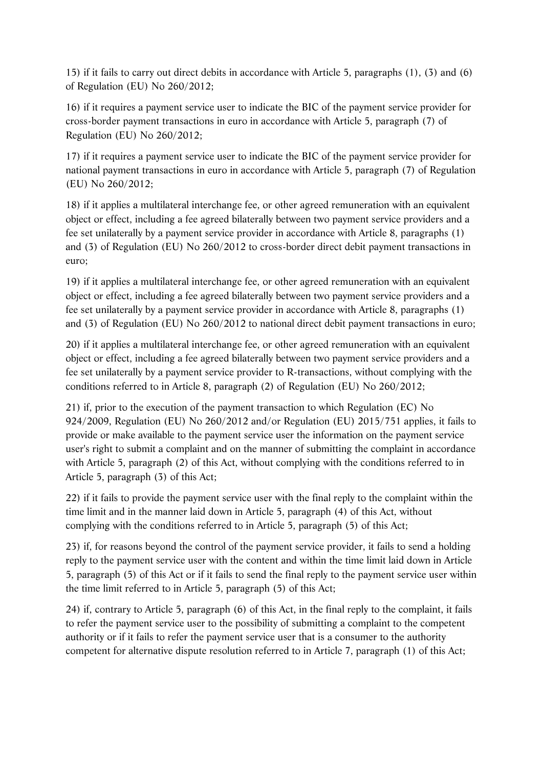15) if it fails to carry out direct debits in accordance with Article 5, paragraphs (1), (3) and (6) of Regulation (EU) No 260/2012;

16) if it requires a payment service user to indicate the BIC of the payment service provider for cross-border payment transactions in euro in accordance with Article 5, paragraph (7) of Regulation (EU) No 260/2012;

17) if it requires a payment service user to indicate the BIC of the payment service provider for national payment transactions in euro in accordance with Article 5, paragraph (7) of Regulation (EU) No 260/2012;

18) if it applies a multilateral interchange fee, or other agreed remuneration with an equivalent object or effect, including a fee agreed bilaterally between two payment service providers and a fee set unilaterally by a payment service provider in accordance with Article 8, paragraphs (1) and (3) of Regulation (EU) No 260/2012 to cross-border direct debit payment transactions in euro;

19) if it applies a multilateral interchange fee, or other agreed remuneration with an equivalent object or effect, including a fee agreed bilaterally between two payment service providers and a fee set unilaterally by a payment service provider in accordance with Article 8, paragraphs (1) and (3) of Regulation (EU) No 260/2012 to national direct debit payment transactions in euro;

20) if it applies a multilateral interchange fee, or other agreed remuneration with an equivalent object or effect, including a fee agreed bilaterally between two payment service providers and a fee set unilaterally by a payment service provider to R-transactions, without complying with the conditions referred to in Article 8, paragraph (2) of Regulation (EU) No 260/2012;

21) if, prior to the execution of the payment transaction to which Regulation (EC) No 924/2009, Regulation (EU) No 260/2012 and/or Regulation (EU) 2015/751 applies, it fails to provide or make available to the payment service user the information on the payment service user's right to submit a complaint and on the manner of submitting the complaint in accordance with Article 5, paragraph (2) of this Act, without complying with the conditions referred to in Article 5, paragraph (3) of this Act;

22) if it fails to provide the payment service user with the final reply to the complaint within the time limit and in the manner laid down in Article 5, paragraph (4) of this Act, without complying with the conditions referred to in Article 5, paragraph (5) of this Act;

23) if, for reasons beyond the control of the payment service provider, it fails to send a holding reply to the payment service user with the content and within the time limit laid down in Article 5, paragraph (5) of this Act or if it fails to send the final reply to the payment service user within the time limit referred to in Article 5, paragraph (5) of this Act;

24) if, contrary to Article 5, paragraph (6) of this Act, in the final reply to the complaint, it fails to refer the payment service user to the possibility of submitting a complaint to the competent authority or if it fails to refer the payment service user that is a consumer to the authority competent for alternative dispute resolution referred to in Article 7, paragraph (1) of this Act;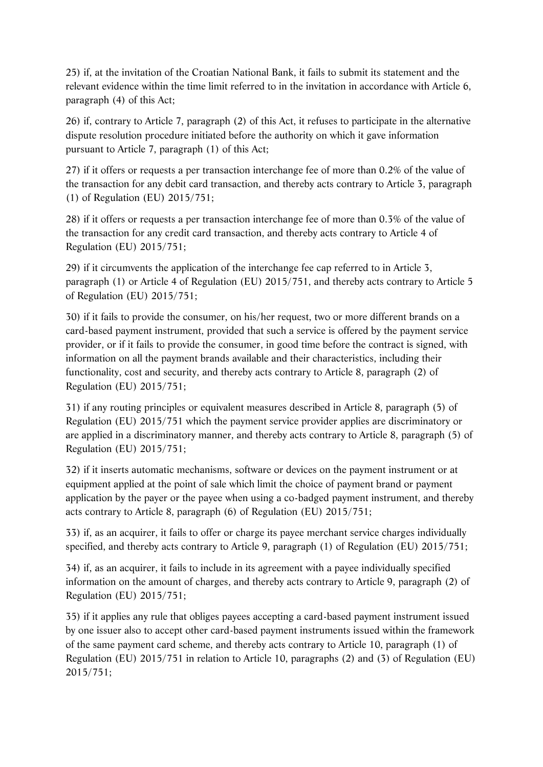25) if, at the invitation of the Croatian National Bank, it fails to submit its statement and the relevant evidence within the time limit referred to in the invitation in accordance with Article 6, paragraph (4) of this Act;

26) if, contrary to Article 7, paragraph (2) of this Act, it refuses to participate in the alternative dispute resolution procedure initiated before the authority on which it gave information pursuant to Article 7, paragraph (1) of this Act;

27) if it offers or requests a per transaction interchange fee of more than 0.2% of the value of the transaction for any debit card transaction, and thereby acts contrary to Article 3, paragraph (1) of Regulation (EU) 2015/751;

28) if it offers or requests a per transaction interchange fee of more than 0.3% of the value of the transaction for any credit card transaction, and thereby acts contrary to Article 4 of Regulation (EU) 2015/751;

29) if it circumvents the application of the interchange fee cap referred to in Article 3, paragraph (1) or Article 4 of Regulation (EU) 2015/751, and thereby acts contrary to Article 5 of Regulation (EU) 2015/751;

30) if it fails to provide the consumer, on his/her request, two or more different brands on a card-based payment instrument, provided that such a service is offered by the payment service provider, or if it fails to provide the consumer, in good time before the contract is signed, with information on all the payment brands available and their characteristics, including their functionality, cost and security, and thereby acts contrary to Article 8, paragraph (2) of Regulation (EU) 2015/751;

31) if any routing principles or equivalent measures described in Article 8, paragraph (5) of Regulation (EU) 2015/751 which the payment service provider applies are discriminatory or are applied in a discriminatory manner, and thereby acts contrary to Article 8, paragraph (5) of Regulation (EU) 2015/751;

32) if it inserts automatic mechanisms, software or devices on the payment instrument or at equipment applied at the point of sale which limit the choice of payment brand or payment application by the payer or the payee when using a co-badged payment instrument, and thereby acts contrary to Article 8, paragraph (6) of Regulation (EU) 2015/751;

33) if, as an acquirer, it fails to offer or charge its payee merchant service charges individually specified, and thereby acts contrary to Article 9, paragraph (1) of Regulation (EU) 2015/751;

34) if, as an acquirer, it fails to include in its agreement with a payee individually specified information on the amount of charges, and thereby acts contrary to Article 9, paragraph (2) of Regulation (EU) 2015/751;

35) if it applies any rule that obliges payees accepting a card-based payment instrument issued by one issuer also to accept other card-based payment instruments issued within the framework of the same payment card scheme, and thereby acts contrary to Article 10, paragraph (1) of Regulation (EU) 2015/751 in relation to Article 10, paragraphs (2) and (3) of Regulation (EU) 2015/751;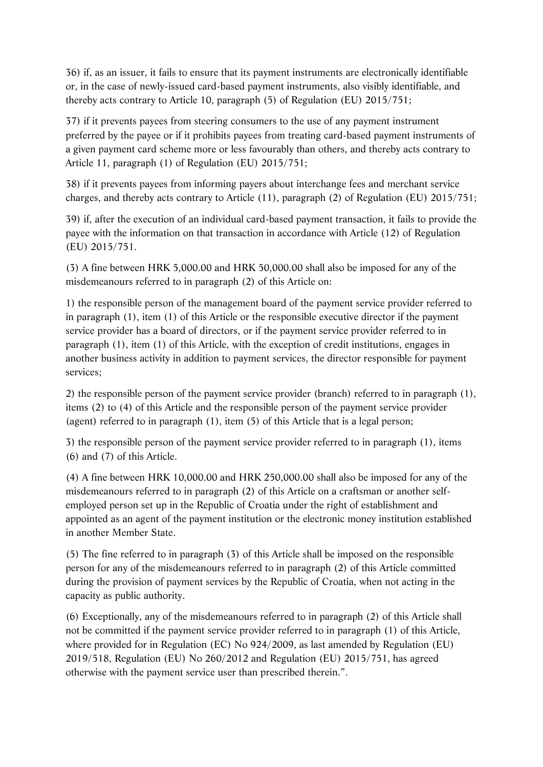36) if, as an issuer, it fails to ensure that its payment instruments are electronically identifiable or, in the case of newly-issued card-based payment instruments, also visibly identifiable, and thereby acts contrary to Article 10, paragraph (5) of Regulation (EU) 2015/751;

37) if it prevents payees from steering consumers to the use of any payment instrument preferred by the payee or if it prohibits payees from treating card-based payment instruments of a given payment card scheme more or less favourably than others, and thereby acts contrary to Article 11, paragraph (1) of Regulation (EU) 2015/751;

38) if it prevents payees from informing payers about interchange fees and merchant service charges, and thereby acts contrary to Article (11), paragraph (2) of Regulation (EU) 2015/751;

39) if, after the execution of an individual card-based payment transaction, it fails to provide the payee with the information on that transaction in accordance with Article (12) of Regulation (EU) 2015/751.

(3) A fine between HRK 5,000.00 and HRK 50,000.00 shall also be imposed for any of the misdemeanours referred to in paragraph (2) of this Article on:

1) the responsible person of the management board of the payment service provider referred to in paragraph (1), item (1) of this Article or the responsible executive director if the payment service provider has a board of directors, or if the payment service provider referred to in paragraph (1), item (1) of this Article, with the exception of credit institutions, engages in another business activity in addition to payment services, the director responsible for payment services;

2) the responsible person of the payment service provider (branch) referred to in paragraph (1), items (2) to (4) of this Article and the responsible person of the payment service provider (agent) referred to in paragraph (1), item (5) of this Article that is a legal person;

3) the responsible person of the payment service provider referred to in paragraph (1), items (6) and (7) of this Article.

(4) A fine between HRK 10,000.00 and HRK 250,000.00 shall also be imposed for any of the misdemeanours referred to in paragraph (2) of this Article on a craftsman or another selfemployed person set up in the Republic of Croatia under the right of establishment and appointed as an agent of the payment institution or the electronic money institution established in another Member State.

(5) The fine referred to in paragraph (3) of this Article shall be imposed on the responsible person for any of the misdemeanours referred to in paragraph (2) of this Article committed during the provision of payment services by the Republic of Croatia, when not acting in the capacity as public authority.

(6) Exceptionally, any of the misdemeanours referred to in paragraph (2) of this Article shall not be committed if the payment service provider referred to in paragraph (1) of this Article, where provided for in Regulation (EC) No 924/2009, as last amended by Regulation (EU) 2019/518, Regulation (EU) No 260/2012 and Regulation (EU) 2015/751, has agreed otherwise with the payment service user than prescribed therein.".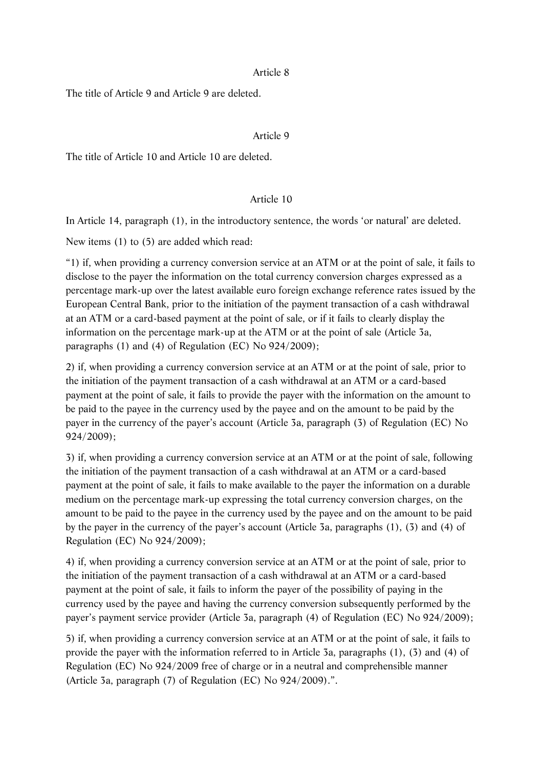#### Article 8

The title of Article 9 and Article 9 are deleted.

### Article 9

The title of Article 10 and Article 10 are deleted.

#### Article 10

In Article 14, paragraph (1), in the introductory sentence, the words 'or natural' are deleted.

New items (1) to (5) are added which read:

"1) if, when providing a currency conversion service at an ATM or at the point of sale, it fails to disclose to the payer the information on the total currency conversion charges expressed as a percentage mark-up over the latest available euro foreign exchange reference rates issued by the European Central Bank, prior to the initiation of the payment transaction of a cash withdrawal at an ATM or a card-based payment at the point of sale, or if it fails to clearly display the information on the percentage mark-up at the ATM or at the point of sale (Article 3a, paragraphs (1) and (4) of Regulation (EC) No 924/2009);

2) if, when providing a currency conversion service at an ATM or at the point of sale, prior to the initiation of the payment transaction of a cash withdrawal at an ATM or a card-based payment at the point of sale, it fails to provide the payer with the information on the amount to be paid to the payee in the currency used by the payee and on the amount to be paid by the payer in the currency of the payer's account (Article 3a, paragraph (3) of Regulation (EC) No 924/2009);

3) if, when providing a currency conversion service at an ATM or at the point of sale, following the initiation of the payment transaction of a cash withdrawal at an ATM or a card-based payment at the point of sale, it fails to make available to the payer the information on a durable medium on the percentage mark-up expressing the total currency conversion charges, on the amount to be paid to the payee in the currency used by the payee and on the amount to be paid by the payer in the currency of the payer's account (Article 3a, paragraphs (1), (3) and (4) of Regulation (EC) No 924/2009);

4) if, when providing a currency conversion service at an ATM or at the point of sale, prior to the initiation of the payment transaction of a cash withdrawal at an ATM or a card-based payment at the point of sale, it fails to inform the payer of the possibility of paying in the currency used by the payee and having the currency conversion subsequently performed by the payer's payment service provider (Article 3a, paragraph (4) of Regulation (EC) No 924/2009);

5) if, when providing a currency conversion service at an ATM or at the point of sale, it fails to provide the payer with the information referred to in Article 3a, paragraphs (1), (3) and (4) of Regulation (EC) No 924/2009 free of charge or in a neutral and comprehensible manner (Article 3a, paragraph (7) of Regulation (EC) No 924/2009).".